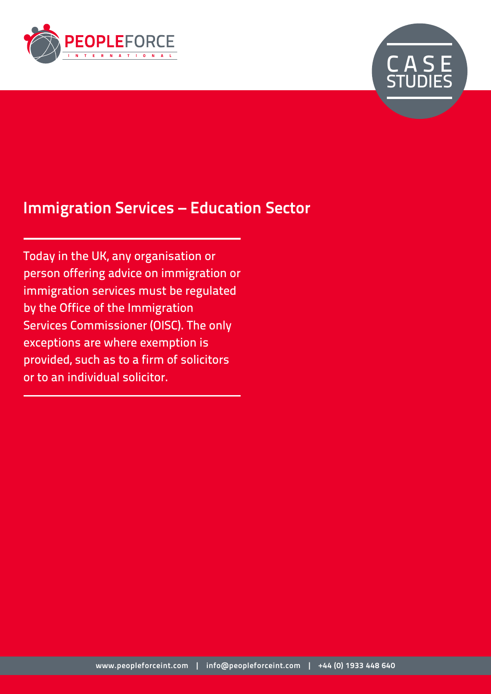



# **Immigration Services – Education Sector**

Today in the UK, any organisation or person offering advice on immigration or immigration services must be regulated by the Office of the Immigration Services Commissioner (OISC). The only exceptions are where exemption is provided, such as to a firm of solicitors or to an individual solicitor.